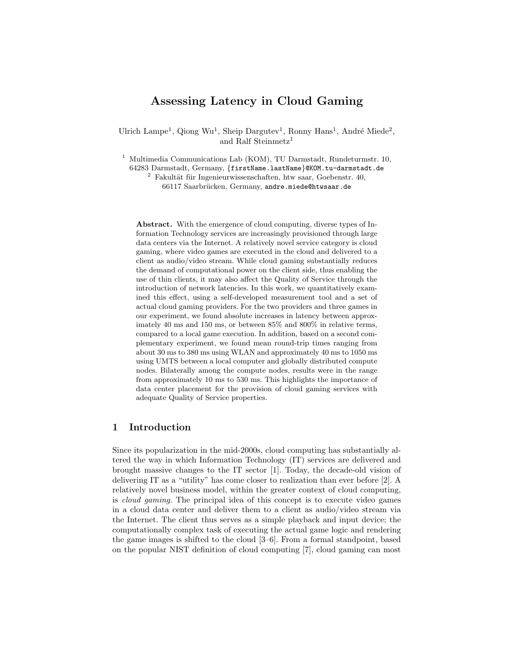# Assessing Latency in Cloud Gaming

Ulrich Lampe<sup>1</sup>, Qiong Wu<sup>1</sup>, Sheip Dargutev<sup>1</sup>, Ronny Hans<sup>1</sup>, André Miede<sup>2</sup>, and Ralf Steinmetz<sup>1</sup>

<sup>1</sup> Multimedia Communications Lab (KOM), TU Darmstadt, Rundeturmstr. 10,

64283 Darmstadt, Germany, {firstName.lastName}@KOM.tu-darmstadt.de  $2$  Fakultät für Ingenieurwissenschaften, htw saar, Goebenstr. 40,

66117 Saarbrücken, Germany, andre.miede@htwsaar.de

Abstract. With the emergence of cloud computing, diverse types of Information Technology services are increasingly provisioned through large data centers via the Internet. A relatively novel service category is cloud gaming, where video games are executed in the cloud and delivered to a client as audio/video stream. While cloud gaming substantially reduces the demand of computational power on the client side, thus enabling the use of thin clients, it may also affect the Quality of Service through the introduction of network latencies. In this work, we quantitatively examined this effect, using a self-developed measurement tool and a set of actual cloud gaming providers. For the two providers and three games in our experiment, we found absolute increases in latency between approximately 40 ms and 150 ms, or between 85% and 800% in relative terms, compared to a local game execution. In addition, based on a second complementary experiment, we found mean round-trip times ranging from about 30 ms to 380 ms using WLAN and approximately 40 ms to 1050 ms using UMTS between a local computer and globally distributed compute nodes. Bilaterally among the compute nodes, results were in the range from approximately 10 ms to 530 ms. This highlights the importance of data center placement for the provision of cloud gaming services with adequate Quality of Service properties.

## 1 Introduction

Since its popularization in the mid-2000s, cloud computing has substantially altered the way in which Information Technology (IT) services are delivered and brought massive changes to the IT sector [1]. Today, the decade-old vision of delivering IT as a "utility" has come closer to realization than ever before [2]. A relatively novel business model, within the greater context of cloud computing, is cloud gaming. The principal idea of this concept is to execute video games in a cloud data center and deliver them to a client as audio/video stream via the Internet. The client thus serves as a simple playback and input device; the computationally complex task of executing the actual game logic and rendering the game images is shifted to the cloud [3–6]. From a formal standpoint, based on the popular NIST definition of cloud computing [7], cloud gaming can most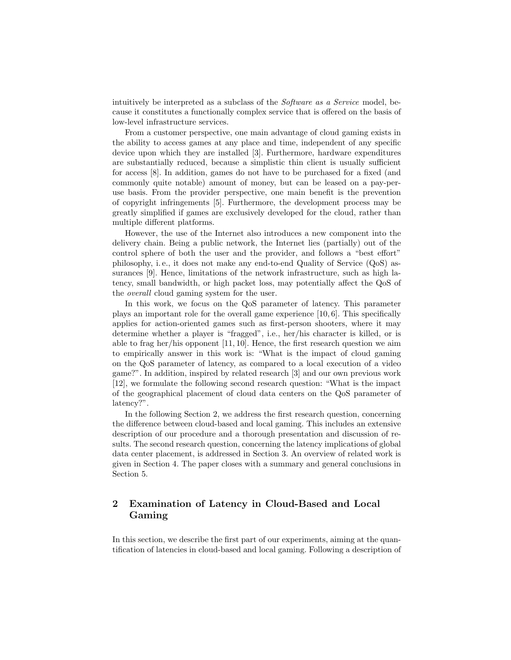intuitively be interpreted as a subclass of the Software as a Service model, because it constitutes a functionally complex service that is offered on the basis of low-level infrastructure services.

From a customer perspective, one main advantage of cloud gaming exists in the ability to access games at any place and time, independent of any specific device upon which they are installed [3]. Furthermore, hardware expenditures are substantially reduced, because a simplistic thin client is usually sufficient for access [8]. In addition, games do not have to be purchased for a fixed (and commonly quite notable) amount of money, but can be leased on a pay-peruse basis. From the provider perspective, one main benefit is the prevention of copyright infringements [5]. Furthermore, the development process may be greatly simplified if games are exclusively developed for the cloud, rather than multiple different platforms.

However, the use of the Internet also introduces a new component into the delivery chain. Being a public network, the Internet lies (partially) out of the control sphere of both the user and the provider, and follows a "best effort" philosophy, i. e., it does not make any end-to-end Quality of Service (QoS) assurances [9]. Hence, limitations of the network infrastructure, such as high latency, small bandwidth, or high packet loss, may potentially affect the QoS of the overall cloud gaming system for the user.

In this work, we focus on the QoS parameter of latency. This parameter plays an important role for the overall game experience [10, 6]. This specifically applies for action-oriented games such as first-person shooters, where it may determine whether a player is "fragged", i.e., her/his character is killed, or is able to frag her/his opponent [11, 10]. Hence, the first research question we aim to empirically answer in this work is: "What is the impact of cloud gaming on the QoS parameter of latency, as compared to a local execution of a video game?". In addition, inspired by related research [3] and our own previous work [12], we formulate the following second research question: "What is the impact of the geographical placement of cloud data centers on the QoS parameter of latency?".

In the following Section 2, we address the first research question, concerning the difference between cloud-based and local gaming. This includes an extensive description of our procedure and a thorough presentation and discussion of results. The second research question, concerning the latency implications of global data center placement, is addressed in Section 3. An overview of related work is given in Section 4. The paper closes with a summary and general conclusions in Section 5.

## 2 Examination of Latency in Cloud-Based and Local Gaming

In this section, we describe the first part of our experiments, aiming at the quantification of latencies in cloud-based and local gaming. Following a description of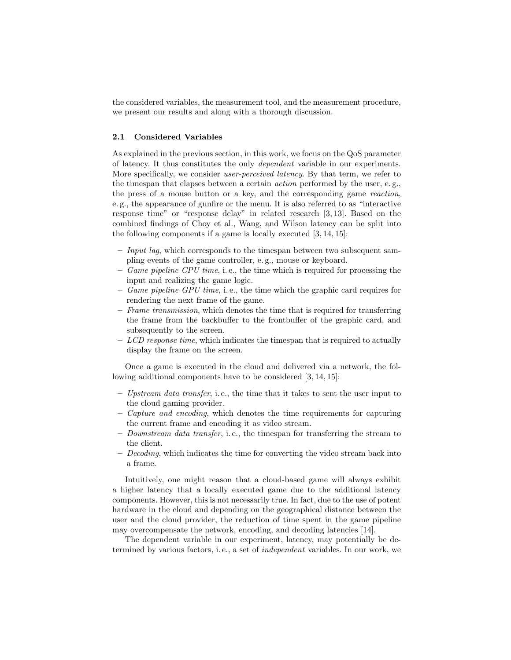the considered variables, the measurement tool, and the measurement procedure, we present our results and along with a thorough discussion.

### 2.1 Considered Variables

As explained in the previous section, in this work, we focus on the QoS parameter of latency. It thus constitutes the only dependent variable in our experiments. More specifically, we consider *user-perceived latency*. By that term, we refer to the timespan that elapses between a certain action performed by the user, e. g., the press of a mouse button or a key, and the corresponding game reaction, e. g., the appearance of gunfire or the menu. It is also referred to as "interactive response time" or "response delay" in related research [3, 13]. Based on the combined findings of Choy et al., Wang, and Wilson latency can be split into the following components if a game is locally executed [3, 14, 15]:

- $-$  Input lag, which corresponds to the timespan between two subsequent sampling events of the game controller, e. g., mouse or keyboard.
- $-$  Game pipeline CPU time, i.e., the time which is required for processing the input and realizing the game logic.
- $-$  Game pipeline GPU time, i.e., the time which the graphic card requires for rendering the next frame of the game.
- $-$  Frame transmission, which denotes the time that is required for transferring the frame from the backbuffer to the frontbuffer of the graphic card, and subsequently to the screen.
- $-$  LCD response time, which indicates the timespan that is required to actually display the frame on the screen.

Once a game is executed in the cloud and delivered via a network, the following additional components have to be considered [3, 14, 15]:

- $-$  Upstream data transfer, i.e., the time that it takes to sent the user input to the cloud gaming provider.
- $-$  Capture and encoding, which denotes the time requirements for capturing the current frame and encoding it as video stream.
- $-$  *Downstream data transfer*, i.e., the timespan for transferring the stream to the client.
- $-$  Decoding, which indicates the time for converting the video stream back into a frame.

Intuitively, one might reason that a cloud-based game will always exhibit a higher latency that a locally executed game due to the additional latency components. However, this is not necessarily true. In fact, due to the use of potent hardware in the cloud and depending on the geographical distance between the user and the cloud provider, the reduction of time spent in the game pipeline may overcompensate the network, encoding, and decoding latencies [14].

The dependent variable in our experiment, latency, may potentially be determined by various factors, i. e., a set of independent variables. In our work, we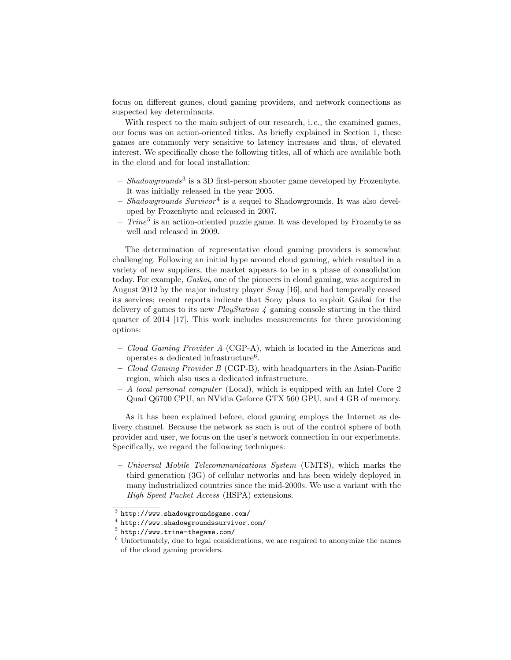focus on different games, cloud gaming providers, and network connections as suspected key determinants.

With respect to the main subject of our research, i.e., the examined games, our focus was on action-oriented titles. As briefly explained in Section 1, these games are commonly very sensitive to latency increases and thus, of elevated interest. We specifically chose the following titles, all of which are available both in the cloud and for local installation:

- $-$  Shadowgrounds<sup>3</sup> is a 3D first-person shooter game developed by Frozenbyte. It was initially released in the year 2005.
- Shadowgrounds Survivor<sup>4</sup> is a sequel to Shadowgrounds. It was also developed by Frozenbyte and released in 2007.
- $-$  Trine<sup>5</sup> is an action-oriented puzzle game. It was developed by Frozenbyte as well and released in 2009.

The determination of representative cloud gaming providers is somewhat challenging. Following an initial hype around cloud gaming, which resulted in a variety of new suppliers, the market appears to be in a phase of consolidation today. For example, Gaikai, one of the pioneers in cloud gaming, was acquired in August 2012 by the major industry player Sony [16], and had temporally ceased its services; recent reports indicate that Sony plans to exploit Gaikai for the delivery of games to its new *PlayStation 4* gaming console starting in the third quarter of 2014 [17]. This work includes measurements for three provisioning options:

- Cloud Gaming Provider A (CGP-A), which is located in the Americas and operates a dedicated infrastructure<sup>6</sup> .
- Cloud Gaming Provider B (CGP-B), with headquarters in the Asian-Pacific region, which also uses a dedicated infrastructure.
- $A$  local personal computer (Local), which is equipped with an Intel Core 2 Quad Q6700 CPU, an NVidia Geforce GTX 560 GPU, and 4 GB of memory.

As it has been explained before, cloud gaming employs the Internet as delivery channel. Because the network as such is out of the control sphere of both provider and user, we focus on the user's network connection in our experiments. Specifically, we regard the following techniques:

– Universal Mobile Telecommunications System (UMTS), which marks the third generation (3G) of cellular networks and has been widely deployed in many industrialized countries since the mid-2000s. We use a variant with the High Speed Packet Access (HSPA) extensions.

 $^3$  http://www.shadowgroundsgame.com/

<sup>4</sup> http://www.shadowgroundssurvivor.com/

<sup>5</sup> http://www.trine-thegame.com/

<sup>6</sup> Unfortunately, due to legal considerations, we are required to anonymize the names of the cloud gaming providers.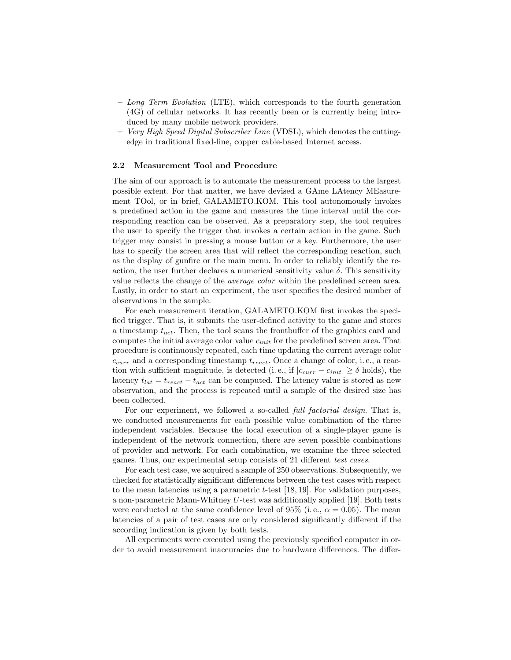- Long Term Evolution (LTE), which corresponds to the fourth generation (4G) of cellular networks. It has recently been or is currently being introduced by many mobile network providers.
- Very High Speed Digital Subscriber Line (VDSL), which denotes the cuttingedge in traditional fixed-line, copper cable-based Internet access.

#### 2.2 Measurement Tool and Procedure

The aim of our approach is to automate the measurement process to the largest possible extent. For that matter, we have devised a GAme LAtency MEasurement TOol, or in brief, GALAMETO.KOM. This tool autonomously invokes a predefined action in the game and measures the time interval until the corresponding reaction can be observed. As a preparatory step, the tool requires the user to specify the trigger that invokes a certain action in the game. Such trigger may consist in pressing a mouse button or a key. Furthermore, the user has to specify the screen area that will reflect the corresponding reaction, such as the display of gunfire or the main menu. In order to reliably identify the reaction, the user further declares a numerical sensitivity value  $\delta$ . This sensitivity value reflects the change of the average color within the predefined screen area. Lastly, in order to start an experiment, the user specifies the desired number of observations in the sample.

For each measurement iteration, GALAMETO.KOM first invokes the specified trigger. That is, it submits the user-defined activity to the game and stores a timestamp  $t_{act}$ . Then, the tool scans the frontbuffer of the graphics card and computes the initial average color value  $c_{init}$  for the predefined screen area. That procedure is continuously repeated, each time updating the current average color  $c_{curr}$  and a corresponding timestamp  $t_{react}$ . Once a change of color, i.e., a reaction with sufficient magnitude, is detected (i.e., if  $|c_{curr} - c_{init}| \ge \delta$  holds), the latency  $t_{lat} = t_{react} - t_{act}$  can be computed. The latency value is stored as new observation, and the process is repeated until a sample of the desired size has been collected.

For our experiment, we followed a so-called *full factorial design*. That is, we conducted measurements for each possible value combination of the three independent variables. Because the local execution of a single-player game is independent of the network connection, there are seven possible combinations of provider and network. For each combination, we examine the three selected games. Thus, our experimental setup consists of 21 different test cases.

For each test case, we acquired a sample of 250 observations. Subsequently, we checked for statistically significant differences between the test cases with respect to the mean latencies using a parametric  $t$ -test [18, 19]. For validation purposes, a non-parametric Mann-Whitney U-test was additionally applied [19]. Both tests were conducted at the same confidence level of 95% (i.e.,  $\alpha = 0.05$ ). The mean latencies of a pair of test cases are only considered significantly different if the according indication is given by both tests.

All experiments were executed using the previously specified computer in order to avoid measurement inaccuracies due to hardware differences. The differ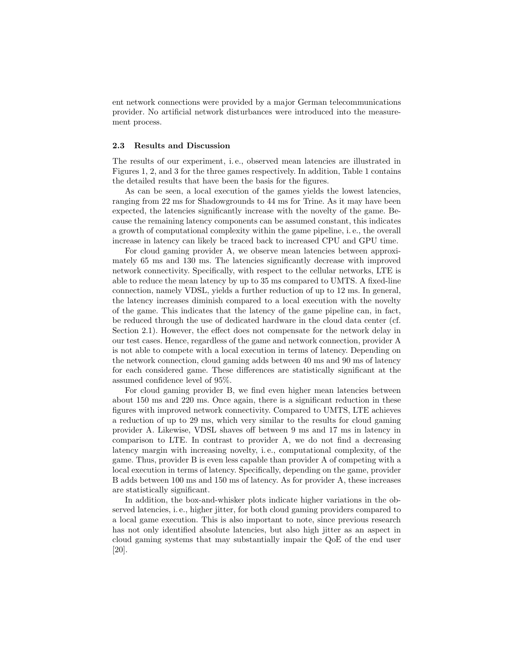ent network connections were provided by a major German telecommunications provider. No artificial network disturbances were introduced into the measurement process.

#### 2.3 Results and Discussion

The results of our experiment, i. e., observed mean latencies are illustrated in Figures 1, 2, and 3 for the three games respectively. In addition, Table 1 contains the detailed results that have been the basis for the figures.

As can be seen, a local execution of the games yields the lowest latencies, ranging from 22 ms for Shadowgrounds to 44 ms for Trine. As it may have been expected, the latencies significantly increase with the novelty of the game. Because the remaining latency components can be assumed constant, this indicates a growth of computational complexity within the game pipeline, i. e., the overall increase in latency can likely be traced back to increased CPU and GPU time.

For cloud gaming provider A, we observe mean latencies between approximately 65 ms and 130 ms. The latencies significantly decrease with improved network connectivity. Specifically, with respect to the cellular networks, LTE is able to reduce the mean latency by up to 35 ms compared to UMTS. A fixed-line connection, namely VDSL, yields a further reduction of up to 12 ms. In general, the latency increases diminish compared to a local execution with the novelty of the game. This indicates that the latency of the game pipeline can, in fact, be reduced through the use of dedicated hardware in the cloud data center (cf. Section 2.1). However, the effect does not compensate for the network delay in our test cases. Hence, regardless of the game and network connection, provider A is not able to compete with a local execution in terms of latency. Depending on the network connection, cloud gaming adds between 40 ms and 90 ms of latency for each considered game. These differences are statistically significant at the assumed confidence level of 95%.

For cloud gaming provider B, we find even higher mean latencies between about 150 ms and 220 ms. Once again, there is a significant reduction in these figures with improved network connectivity. Compared to UMTS, LTE achieves a reduction of up to 29 ms, which very similar to the results for cloud gaming provider A. Likewise, VDSL shaves off between 9 ms and 17 ms in latency in comparison to LTE. In contrast to provider A, we do not find a decreasing latency margin with increasing novelty, i. e., computational complexity, of the game. Thus, provider B is even less capable than provider A of competing with a local execution in terms of latency. Specifically, depending on the game, provider B adds between 100 ms and 150 ms of latency. As for provider A, these increases are statistically significant.

In addition, the box-and-whisker plots indicate higher variations in the observed latencies, i. e., higher jitter, for both cloud gaming providers compared to a local game execution. This is also important to note, since previous research has not only identified absolute latencies, but also high jitter as an aspect in cloud gaming systems that may substantially impair the QoE of the end user [20].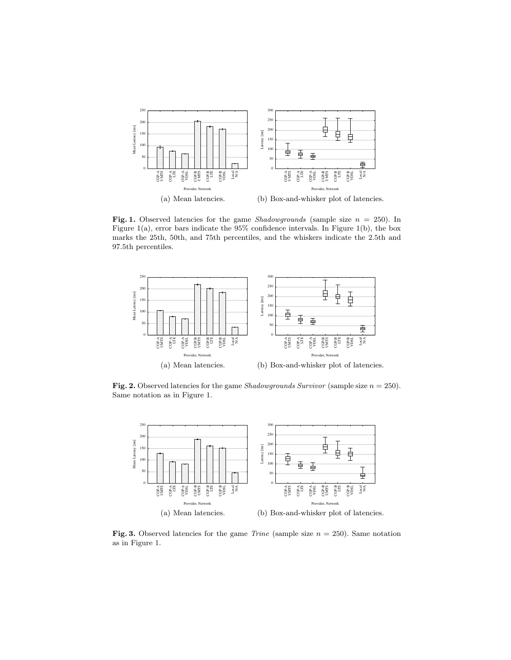

Fig. 1. Observed latencies for the game *Shadowgrounds* (sample size  $n = 250$ ). In Figure 1(a), error bars indicate the 95% confidence intervals. In Figure 1(b), the box marks the 25th, 50th, and 75th percentiles, and the whiskers indicate the 2.5th and 97.5th percentiles.



Fig. 2. Observed latencies for the game Shadowgrounds Survivor (sample size  $n = 250$ ). Same notation as in Figure 1.



**Fig. 3.** Observed latencies for the game *Trine* (sample size  $n = 250$ ). Same notation as in Figure 1.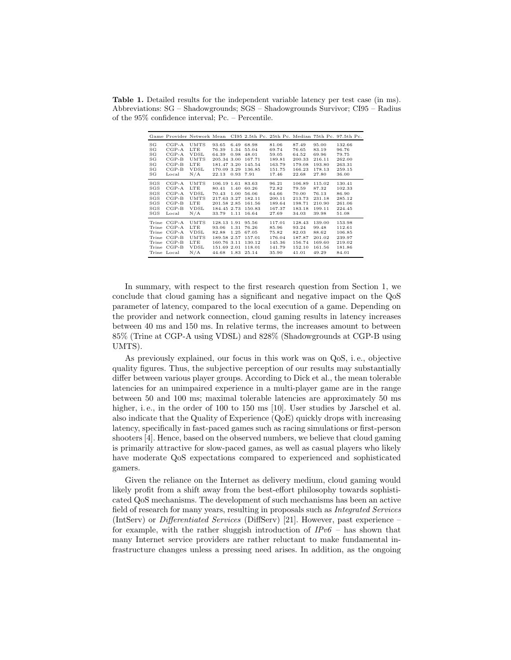Table 1. Detailed results for the independent variable latency per test case (in ms). Abbreviations: SG – Shadowgrounds; SGS – Shadowgrounds Survivor; CI95 – Radius of the 95% confidence interval; Pc. – Percentile.

|                                                                                     |                                                                               |                                                                 |                                                                                     |                              |                                                                |                                                                 |                                                                 |                                                                 | Game Provider Network Mean CI95 2.5th Pc. 25th Pc. Median 75th Pc. 97.5th Pc. |
|-------------------------------------------------------------------------------------|-------------------------------------------------------------------------------|-----------------------------------------------------------------|-------------------------------------------------------------------------------------|------------------------------|----------------------------------------------------------------|-----------------------------------------------------------------|-----------------------------------------------------------------|-----------------------------------------------------------------|-------------------------------------------------------------------------------|
| SG<br>$_{\rm SG}$<br>$_{\rm SG}$<br>SG<br>$_{\rm SG}$<br>$_{\rm SG}$<br>$_{\rm SG}$ | $CGP-A$<br>$CGP-A$<br>$CGP-A$<br>$CGP-B$<br>$CGP-B$<br>$CGP-B$<br>Local       | UMTS<br>LTE<br>VDSL<br>UMTS<br>LTE<br><b>VDSL</b><br>N/A        | 93.65<br>76.39<br>64.39<br>205.34 3.00<br>181.47 3.20<br>170.09 3.29<br>22.13       | 6.49<br>1.34<br>0.98<br>0.93 | 68.98<br>55.04<br>48.01<br>167.71<br>145.54<br>136.85<br>7.91  | 81.06<br>69.74<br>59.05<br>189.81<br>163.79<br>151.75<br>17.46  | 87.49<br>76.65<br>64.52<br>200.33<br>179.08<br>166.23<br>22.68  | 95.00<br>83.19<br>69.96<br>216.11<br>193.80<br>178.13<br>27.80  | 132.66<br>96.76<br>79.75<br>262.00<br>263.31<br>259.15<br>36.00               |
| SGS<br>SGS<br>SGS<br>SGS<br>SGS<br>SGS<br>SGS                                       | $CGP-A$<br>$CGP-A$<br>$CGP-A$<br>$CGP-B$<br>$CGP-B$<br>$CGP-B$<br>Local       | UMTS<br>LTE<br><b>VDSL</b><br>UMTS<br>LTE<br><b>VDSL</b><br>N/A | 106.19 1.61<br>80.41<br>70.43<br>217.63 3.27<br>201.58 2.85<br>184.45 2.73<br>33.79 | 1.40<br>1.00<br>1.11         | 83.63<br>60.26<br>56.06<br>182.11<br>161.56<br>150.83<br>16.64 | 96.21<br>72.82<br>64.66<br>200.11<br>189.64<br>167.37<br>27.69  | 106.89<br>79.59<br>70.00<br>213.73<br>198.71<br>183.18<br>34.03 | 115.02<br>87.32<br>76.13<br>231.18<br>210.90<br>199.11<br>39.98 | 130.41<br>102.33<br>86.90<br>285.12<br>261.06<br>224.45<br>51.08              |
| Trine<br>Trine<br>Trine<br>Trine<br>Trine<br>Trine                                  | $CGP-A$<br>$CGP-A$<br>$CGP-A$<br>$CGP-B$<br>$CGP-B$<br>$CGP-B$<br>Trine Local | UMTS<br>LTE<br>VDSL<br>UMTS<br>LTE<br><b>VDSL</b><br>N/A        | 128.13 1.91<br>93.06<br>82.88<br>189.58 2.57<br>160.76 3.11<br>151.69 2.01<br>44.68 | 1.31<br>1.25<br>1.83         | 95.56<br>76.26<br>67.05<br>157.01<br>130.12<br>118.01<br>25.14 | 117.01<br>85.96<br>75.82<br>176.04<br>145.36<br>141.79<br>35.90 | 128.43<br>93.24<br>82.03<br>187.87<br>156.74<br>152.10<br>41.01 | 139.00<br>99.48<br>88.62<br>201.02<br>169.60<br>161.56<br>49.29 | 153.98<br>112.61<br>106.85<br>239.97<br>219.02<br>181.86<br>84.01             |

In summary, with respect to the first research question from Section 1, we conclude that cloud gaming has a significant and negative impact on the QoS parameter of latency, compared to the local execution of a game. Depending on the provider and network connection, cloud gaming results in latency increases between 40 ms and 150 ms. In relative terms, the increases amount to between 85% (Trine at CGP-A using VDSL) and 828% (Shadowgrounds at CGP-B using UMTS).

As previously explained, our focus in this work was on QoS, i. e., objective quality figures. Thus, the subjective perception of our results may substantially differ between various player groups. According to Dick et al., the mean tolerable latencies for an unimpaired experience in a multi-player game are in the range between 50 and 100 ms; maximal tolerable latencies are approximately 50 ms higher, i.e., in the order of 100 to 150 ms [10]. User studies by Jarschel et al. also indicate that the Quality of Experience (QoE) quickly drops with increasing latency, specifically in fast-paced games such as racing simulations or first-person shooters [4]. Hence, based on the observed numbers, we believe that cloud gaming is primarily attractive for slow-paced games, as well as casual players who likely have moderate QoS expectations compared to experienced and sophisticated gamers.

Given the reliance on the Internet as delivery medium, cloud gaming would likely profit from a shift away from the best-effort philosophy towards sophisticated QoS mechanisms. The development of such mechanisms has been an active field of research for many years, resulting in proposals such as Integrated Services (IntServ) or Differentiated Services (DiffServ) [21]. However, past experience – for example, with the rather sluggish introduction of  $IPv6$  – has shown that many Internet service providers are rather reluctant to make fundamental infrastructure changes unless a pressing need arises. In addition, as the ongoing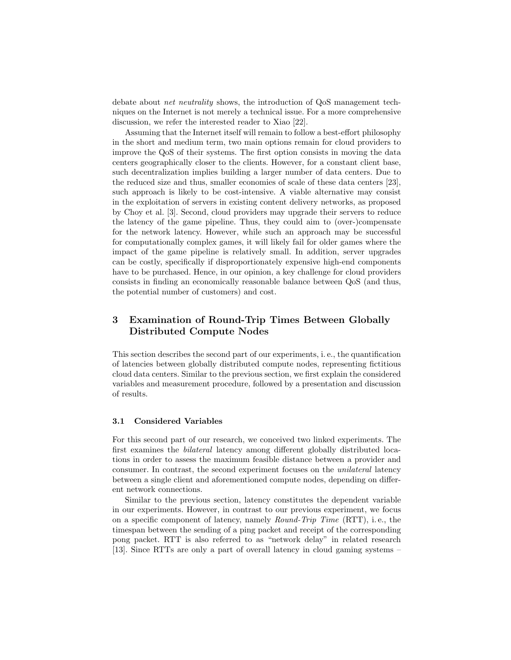debate about net neutrality shows, the introduction of QoS management techniques on the Internet is not merely a technical issue. For a more comprehensive discussion, we refer the interested reader to Xiao [22].

Assuming that the Internet itself will remain to follow a best-effort philosophy in the short and medium term, two main options remain for cloud providers to improve the QoS of their systems. The first option consists in moving the data centers geographically closer to the clients. However, for a constant client base, such decentralization implies building a larger number of data centers. Due to the reduced size and thus, smaller economies of scale of these data centers [23], such approach is likely to be cost-intensive. A viable alternative may consist in the exploitation of servers in existing content delivery networks, as proposed by Choy et al. [3]. Second, cloud providers may upgrade their servers to reduce the latency of the game pipeline. Thus, they could aim to (over-)compensate for the network latency. However, while such an approach may be successful for computationally complex games, it will likely fail for older games where the impact of the game pipeline is relatively small. In addition, server upgrades can be costly, specifically if disproportionately expensive high-end components have to be purchased. Hence, in our opinion, a key challenge for cloud providers consists in finding an economically reasonable balance between QoS (and thus, the potential number of customers) and cost.

## 3 Examination of Round-Trip Times Between Globally Distributed Compute Nodes

This section describes the second part of our experiments, i. e., the quantification of latencies between globally distributed compute nodes, representing fictitious cloud data centers. Similar to the previous section, we first explain the considered variables and measurement procedure, followed by a presentation and discussion of results.

### 3.1 Considered Variables

For this second part of our research, we conceived two linked experiments. The first examines the bilateral latency among different globally distributed locations in order to assess the maximum feasible distance between a provider and consumer. In contrast, the second experiment focuses on the unilateral latency between a single client and aforementioned compute nodes, depending on different network connections.

Similar to the previous section, latency constitutes the dependent variable in our experiments. However, in contrast to our previous experiment, we focus on a specific component of latency, namely *Round-Trip Time*  $(RTT)$ , i.e., the timespan between the sending of a ping packet and receipt of the corresponding pong packet. RTT is also referred to as "network delay" in related research [13]. Since RTTs are only a part of overall latency in cloud gaming systems –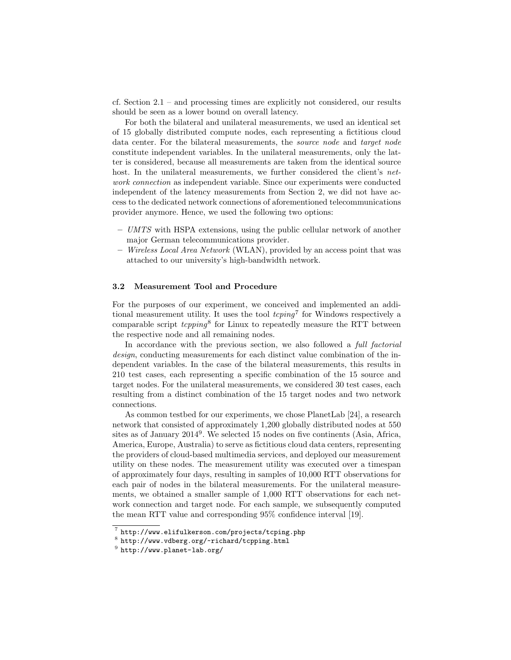cf. Section 2.1 – and processing times are explicitly not considered, our results should be seen as a lower bound on overall latency.

For both the bilateral and unilateral measurements, we used an identical set of 15 globally distributed compute nodes, each representing a fictitious cloud data center. For the bilateral measurements, the *source node* and *target node* constitute independent variables. In the unilateral measurements, only the latter is considered, because all measurements are taken from the identical source host. In the unilateral measurements, we further considered the client's network connection as independent variable. Since our experiments were conducted independent of the latency measurements from Section 2, we did not have access to the dedicated network connections of aforementioned telecommunications provider anymore. Hence, we used the following two options:

- UMTS with HSPA extensions, using the public cellular network of another major German telecommunications provider.
- $-$  Wireless Local Area Network (WLAN), provided by an access point that was attached to our university's high-bandwidth network.

#### 3.2 Measurement Tool and Procedure

For the purposes of our experiment, we conceived and implemented an additional measurement utility. It uses the tool  $\ell e \gamma n g^7$  for Windows respectively a comparable script  $t$ comparable script  $t$ comparable script  $t$ comparable script  $t$ comparable script  $t$ comparable script  $t$ comparable script  $t$ comparable script  $t$ comparable script  $t$ comparable script  $t$ comparable the respective node and all remaining nodes.

In accordance with the previous section, we also followed a *full factorial* design, conducting measurements for each distinct value combination of the independent variables. In the case of the bilateral measurements, this results in 210 test cases, each representing a specific combination of the 15 source and target nodes. For the unilateral measurements, we considered 30 test cases, each resulting from a distinct combination of the 15 target nodes and two network connections.

As common testbed for our experiments, we chose PlanetLab [24], a research network that consisted of approximately 1,200 globally distributed nodes at 550 sites as of January 2014<sup>9</sup>. We selected 15 nodes on five continents (Asia, Africa, America, Europe, Australia) to serve as fictitious cloud data centers, representing the providers of cloud-based multimedia services, and deployed our measurement utility on these nodes. The measurement utility was executed over a timespan of approximately four days, resulting in samples of 10,000 RTT observations for each pair of nodes in the bilateral measurements. For the unilateral measurements, we obtained a smaller sample of 1,000 RTT observations for each network connection and target node. For each sample, we subsequently computed the mean RTT value and corresponding 95% confidence interval [19].

<sup>7</sup> http://www.elifulkerson.com/projects/tcping.php

 $\frac{8}{3}$  http://www.vdberg.org/~richard/tcpping.html

 $^9$  http://www.planet-lab.org/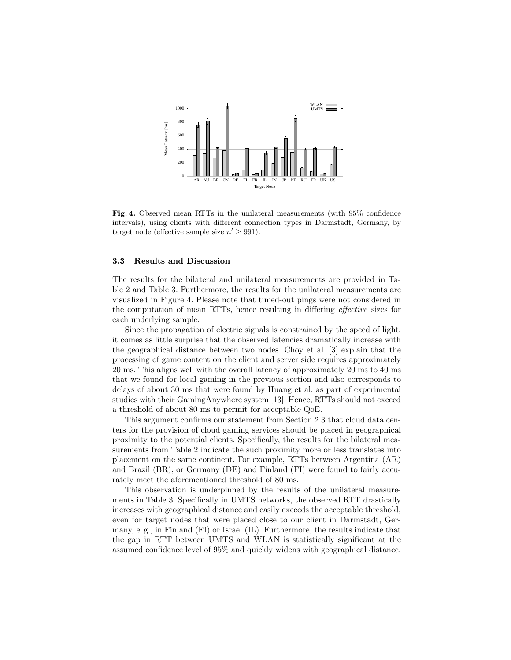

Fig. 4. Observed mean RTTs in the unilateral measurements (with 95% confidence intervals), using clients with different connection types in Darmstadt, Germany, by target node (effective sample size  $n' \geq 991$ ).

#### 3.3 Results and Discussion

The results for the bilateral and unilateral measurements are provided in Table 2 and Table 3. Furthermore, the results for the unilateral measurements are visualized in Figure 4. Please note that timed-out pings were not considered in the computation of mean RTTs, hence resulting in differing effective sizes for each underlying sample.

Since the propagation of electric signals is constrained by the speed of light, it comes as little surprise that the observed latencies dramatically increase with the geographical distance between two nodes. Choy et al. [3] explain that the processing of game content on the client and server side requires approximately 20 ms. This aligns well with the overall latency of approximately 20 ms to 40 ms that we found for local gaming in the previous section and also corresponds to delays of about 30 ms that were found by Huang et al. as part of experimental studies with their GamingAnywhere system [13]. Hence, RTTs should not exceed a threshold of about 80 ms to permit for acceptable QoE.

This argument confirms our statement from Section 2.3 that cloud data centers for the provision of cloud gaming services should be placed in geographical proximity to the potential clients. Specifically, the results for the bilateral measurements from Table 2 indicate the such proximity more or less translates into placement on the same continent. For example, RTTs between Argentina (AR) and Brazil (BR), or Germany (DE) and Finland (FI) were found to fairly accurately meet the aforementioned threshold of 80 ms.

This observation is underpinned by the results of the unilateral measurements in Table 3. Specifically in UMTS networks, the observed RTT drastically increases with geographical distance and easily exceeds the acceptable threshold, even for target nodes that were placed close to our client in Darmstadt, Germany, e. g., in Finland (FI) or Israel (IL). Furthermore, the results indicate that the gap in RTT between UMTS and WLAN is statistically significant at the assumed confidence level of 95% and quickly widens with geographical distance.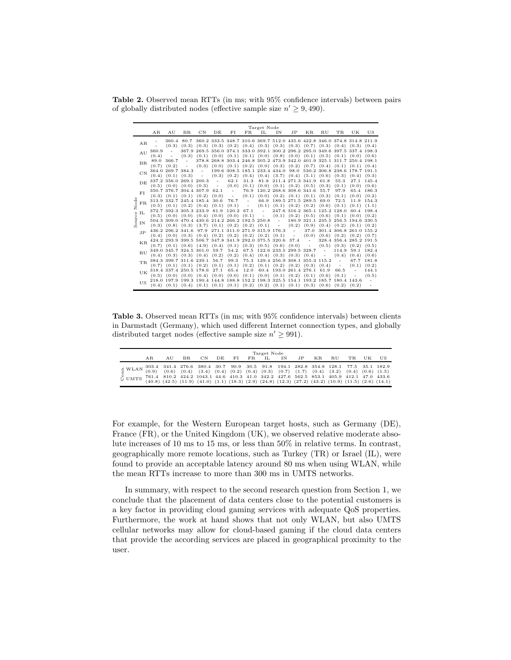Table 2. Observed mean RTTs (in ms; with 95% confidence intervals) between pairs of globally distributed nodes (effective sample size  $n' \geq 9,490$ ).

|        |           |       | Target Node       |                                 |                          |                                                                         |                                                                                         |                                                 |                          |                                 |                                   |                          |                               |                 |                                     |       |
|--------|-----------|-------|-------------------|---------------------------------|--------------------------|-------------------------------------------------------------------------|-----------------------------------------------------------------------------------------|-------------------------------------------------|--------------------------|---------------------------------|-----------------------------------|--------------------------|-------------------------------|-----------------|-------------------------------------|-------|
|        |           | AR    | AU                | $_{\rm BR}$                     | $_{\rm CN}$              | DE                                                                      | FI                                                                                      | FR.                                             | IL                       | IΝ                              | $_{\rm JP}$                       | <b>KR</b>                | RU                            | <b>TR</b>       | UK                                  | US    |
|        | AR        |       | 360.4 80.7        |                                 |                          |                                                                         | 360.2 333.5 348.7 310.6 369.7 512.0 435.6 422.8 346.0 374.8 314.8 211.9                 |                                                 |                          |                                 |                                   |                          |                               |                 |                                     |       |
|        |           |       | (0.3)             | (0.3)                           | (0.3)                    |                                                                         | $(0.3)$ $(0.2)$ $(0.4)$ $(0.3)$ $(0.3)$ $(0.3)$ $(0.7)$ $(0.3)$ $(0.4)$ $(0.3)$ $(0.4)$ |                                                 |                          |                                 |                                   |                          |                               |                 |                                     |       |
|        | AU        | 360.9 |                   | 367.9                           |                          |                                                                         | 269.5 356.0 374.1 333.0 392.1 300.2 296.2 295.0 349.6 397.5 337.4 198.3                 |                                                 |                          |                                 |                                   |                          |                               |                 |                                     |       |
|        |           | (0.4) |                   | (0.3)                           | (0.1)                    |                                                                         | $(0.0)$ $(0.1)$                                                                         |                                                 | $(0.1)$ $(0.0)$ $(0.8)$  |                                 |                                   | $(0.0)$ $(0.1)$          | (0.5)                         | (0.1)           | $(0,0)$ $(0,6)$                     |       |
|        | BB.       | 89.0  | 366.7             | ٠                               |                          |                                                                         | 378.8 268.8 303.4 246.8 305.2 473.9 342.0 401.9 325.1 311.7 250.4 198.1                 |                                                 |                          |                                 |                                   |                          |                               |                 |                                     |       |
|        |           | (0.7) | (0.2)             | $\overline{\phantom{a}}$        | (0.3)                    |                                                                         | $(0.0)$ $(0.1)$ $(0.2)$ $(0.0)$ $(0.3)$                                                 |                                                 |                          |                                 | (0.2)                             | (0.7)                    |                               | $(0.4)$ $(0.1)$ | $(0.1)$ $(0.4)$                     |       |
|        | CN        |       | 364.0 269.7 384.3 |                                 | $\overline{\phantom{a}}$ |                                                                         | 199.6 308.5 185.1 233.4 434.0 98.0                                                      |                                                 |                          |                                 |                                   |                          |                               |                 | 530.2 306.8 238.6 178.7 191.1       |       |
|        |           | (0.4) | (0,1)             | (0.3)                           | $\overline{\phantom{m}}$ | (0.3)                                                                   | (0.2)                                                                                   | (0.4)                                           | (0.4)                    | (3.7)                           | (0.4)                             | (5.1)                    | (0.6)                         | (0.3)           | (0.4)                               | (0.3) |
|        | DE        |       |                   | 337.2 356.0 269.1 200.3         |                          | $\overline{\phantom{a}}$                                                | 62.1                                                                                    | 31.3                                            |                          | 81.8 211.4 271.3 341.9          |                                   |                          | 61.8                          | 55.3            | 27.1                                | 145.4 |
|        |           |       |                   | $(0.5)$ $(0.0)$ $(0.0)$ $(0.3)$ |                          | $\sim$                                                                  | (0.0)                                                                                   | (0.1)                                           |                          | $(0.0)$ $(0.1)$ $(0.2)$ $(0.5)$ |                                   |                          | (0.3)                         | (0.1)           | (0,0)                               | (0.6) |
| ड<br>Z | FI        |       |                   | 350.7 376.7 304.4 307.9 62.1    |                          |                                                                         | $\sim$                                                                                  | 76.9                                            | 120.2 268.6 308.6 341.6  |                                 |                                   |                          | 55.7                          | 97.9            | 65.4                                | 186.3 |
|        |           | (0.3) | (0,1)             | $(0.1)$ $(0.2)$                 |                          | (0.0)                                                                   | $\sim$ $-$                                                                              | (0.1)                                           | (0.0)                    | (0.2)                           | (0.1)                             | (0.1)                    | (0.3)                         | (0.1)           | (0.0)                               | (0.2) |
|        | FR.       |       |                   | 313.9 332.7 245.4 185.4         |                          | 30.6                                                                    | $76.7 -$                                                                                |                                                 | 66.9                     |                                 | 189.5 271.5 289.5                 |                          | 69.0                          | 72.5            | 11.9                                | 154.3 |
|        |           |       |                   | $(0.5)$ $(0.1)$ $(0.2)$ $(0.4)$ |                          | (0.1)                                                                   | (0.1)                                                                                   | $\sim$                                          | (0.1)                    | (0.1)                           | (0.2)                             | (0.2)                    | (0.6)                         | (0.1)           | (0,1)                               | (1.1) |
| Φ      | IL        |       |                   | 372.7 392.3 305.3 233.9         |                          | 81.9                                                                    | 120.2                                                                                   | 67.1                                            | $\sim$                   |                                 |                                   |                          | 247.6 316.2 365.1 125.2 128.0 |                 | 60.4                                | 198.4 |
| ourc   |           | (0.5) | (0.0)             | (0,0)                           | (0.4)                    | (0.0)                                                                   | (0.0)                                                                                   | (0.1)                                           | $\overline{\phantom{a}}$ | (0.1)                           | (0.2)                             | (0.5)                    | (0.6)                         | (0.1)           | (0.0)                               | (0.2) |
|        | IN        |       |                   |                                 |                          |                                                                         | 504.3 309.0 470.4 430.6 214.2 266.2 192.5 250.8 -                                       |                                                 |                          |                                 |                                   |                          |                               |                 | 180.9 321.1 235.5 256.5 194.6 330.5 |       |
| m      |           |       |                   | $(0.3)$ $(0.8)$ $(0.3)$ $(3.7)$ |                          |                                                                         | $(0.1)$ $(0.2)$ $(0.2)$ $(0.1)$                                                         |                                                 |                          | $ (0.2)$                        |                                   | (0.9)                    | (0.4)                         | (0.2)           | (0.1)                               | (0.2) |
|        | JP.       |       |                   |                                 |                          |                                                                         | 436.2 296.2 341.6 97.9 271.1 311.0 271.9 315.9 176.3                                    |                                                 |                          |                                 | <b>Contract Contract Contract</b> | 37.0                     |                               |                 | 301.4 306.8 261.0 155.2             |       |
|        |           |       |                   |                                 |                          |                                                                         | $(0.4)$ $(0.0)$ $(0.3)$ $(0.4)$ $(0.2)$ $(0.2)$ $(0.2)$ $(0.2)$ $(0.1)$                 |                                                 |                          |                                 | $\sim$                            | (0.0)                    |                               |                 | $(0.6)$ $(0.2)$ $(0.2)$ $(0.7)$     |       |
|        | ΚR.       |       |                   |                                 |                          |                                                                         | 424.2 293.9 399.5 506.7 347.8 341.9 292.0 375.5 320.6 37.4                              |                                                 |                          |                                 |                                   | ٠                        |                               |                 | 328.4 356.4 285.2 191.5             |       |
|        |           | (0.7) | (0.1)             | (0.6)                           | (4.9)                    | (0.4)                                                                   | (0.1)                                                                                   | (0.3)                                           |                          | $(0.5)$ $(0.6)$                 | (0.0)                             | $\overline{\phantom{0}}$ | (0.5)                         | (0.3)           | (0.2)                               | (0.5) |
|        | <b>BU</b> |       |                   | 349.0 345.7 324.5 301.0         |                          | 59.7                                                                    | 54.2                                                                                    | 67.5                                            | 122.6 233.5 299.5 328.7  |                                 |                                   |                          | ٠                             | 114.9           | 59.1                                | 182.4 |
|        |           | (0.4) | (0.3)             | $(0.3)$ $(0.4)$                 |                          | (0.2)                                                                   | (0.2)                                                                                   | (0.4)                                           |                          | $(0.4)$ $(0.3)$                 | (0.3)                             | (0.4)                    |                               | (0.4)           | (0.4)                               | (0.6) |
|        | TR.       |       |                   | 384.3 399.7 311.6 239.1         |                          | 56.7                                                                    | 99.3                                                                                    | 75.3                                            |                          | 129.4 256.9 308.1 355.3 115.2   |                                   |                          |                               | ٠               | 67.7                                | 181.8 |
|        |           | (0.7) |                   | $(0.1)$ $(0.1)$ $(0.2)$         |                          | (0.1)                                                                   | (0.1)                                                                                   | (0.2)                                           |                          | $(0.1)$ $(0.2)$                 | (0.2)                             | (0.3)                    | (0.4)                         | $\sim$          | (0.1)                               | (0.2) |
|        | UК        |       |                   | 318.4 337.4 250.5 178.6 27.1    |                          |                                                                         | 65.4                                                                                    | 12.0 60.4 193.0 261.4 276.1 61.9                |                          |                                 |                                   |                          |                               | 66.5            |                                     | 144.1 |
|        |           |       |                   | $(0.5)$ $(0.0)$ $(0.0)$ $(0.4)$ |                          | (0.0)                                                                   |                                                                                         | $(0.0)$ $(0.1)$ $(0.0)$ $(0.1)$ $(0.2)$ $(0.1)$ |                          |                                 |                                   |                          | (0.6)                         | (0.1)           |                                     | (0.5) |
|        | US        |       |                   |                                 |                          |                                                                         | 218.0 197.9 199.3 190.4 144.8 188.8 152.2 198.3 325.5 154.1 193.2 185.7                 |                                                 |                          |                                 |                                   |                          |                               | 180.4 143.6     |                                     |       |
|        | (0.4)     | (0.1) |                   |                                 |                          | $(0.4)$ $(0.1)$ $(0.1)$ $(0.1)$ $(0.2)$ $(0.2)$ $(0.1)$ $(0.1)$ $(0.3)$ |                                                                                         |                                                 |                          |                                 |                                   | (0.6)                    | (0.2)                         | (0.2)           |                                     |       |

Table 3. Observed mean RTTs (in ms; with 95% confidence intervals) between clients in Darmstadt (Germany), which used different Internet connection types, and globally distributed target nodes (effective sample size  $n' \geq 991$ ).

|                                                                                                                                                                                                                                                                                                                                                                                                                                                                                                                                                                                                                                                      | Target Node |  |       |  |  |  |  |                                     |  |  |  |  |  |  |  |
|------------------------------------------------------------------------------------------------------------------------------------------------------------------------------------------------------------------------------------------------------------------------------------------------------------------------------------------------------------------------------------------------------------------------------------------------------------------------------------------------------------------------------------------------------------------------------------------------------------------------------------------------------|-------------|--|-------|--|--|--|--|-------------------------------------|--|--|--|--|--|--|--|
|                                                                                                                                                                                                                                                                                                                                                                                                                                                                                                                                                                                                                                                      | AR          |  | AU BR |  |  |  |  | CN DE FI FR IL IN JP KR RU TR UK US |  |  |  |  |  |  |  |
| $\stackrel{\cdot \cdot }{{\rm{g}}} {\rm{\text{WLAN}}} \stackrel{303.4}{\,\text{0.9}} \,\, \stackrel{341.4}{\,\text{0.1}} \,\, \stackrel{276.6}{\,\text{0.8}} \,\, \stackrel{380.4}{\,\text{0.4}} \,\, \stackrel{30.7}{\,\text{0.9}} \,\, \stackrel{90.9}{\,\text{0.9}} \,\, \stackrel{30.5}{\,\text{0.9}} \,\, \stackrel{91.8}{\,\text{0.1}} \,\, \stackrel{194.1}{\,\text{0.2}} \,\, \stackrel{282.8}{\,\text$<br>$60$ UMTS $761.4$ 810.2 424.2 1043.1 44.6 410.3 41.0 342.2 427.6 562.5 853.1 405.9 412.1 47.0 433.6<br>$60$ UMTS $(40.8)$ $(42.5)$ $(11.9)$ $(41.0)$ $(1.1)$ $(18.3)$ $(2.9)$ $(24.8)$ $(12.3)$ $(27.2)$ $(43.2)$ $(10.9)$ $(11.$ |             |  |       |  |  |  |  |                                     |  |  |  |  |  |  |  |

For example, for the Western European target hosts, such as Germany (DE), France (FR), or the United Kingdom (UK), we observed relative moderate absolute increases of 10 ms to 15 ms, or less than 50% in relative terms. In contrast, geographically more remote locations, such as Turkey (TR) or Israel (IL), were found to provide an acceptable latency around 80 ms when using WLAN, while the mean RTTs increase to more than 300 ms in UMTS networks.

In summary, with respect to the second research question from Section 1, we conclude that the placement of data centers close to the potential customers is a key factor in providing cloud gaming services with adequate QoS properties. Furthermore, the work at hand shows that not only WLAN, but also UMTS cellular networks may allow for cloud-based gaming if the cloud data centers that provide the according services are placed in geographical proximity to the user.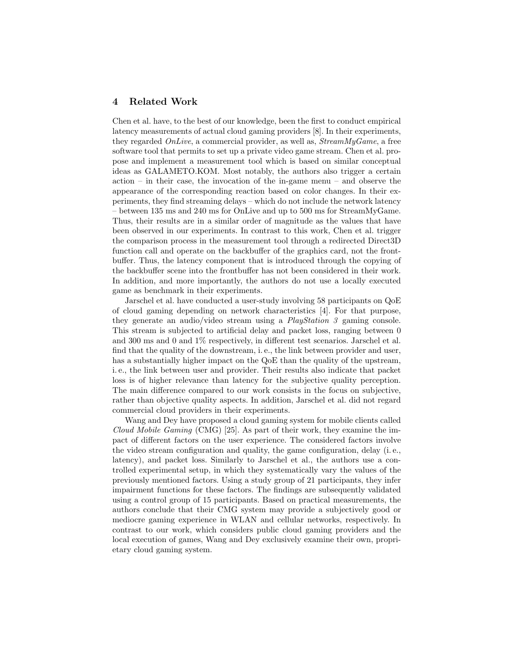### 4 Related Work

Chen et al. have, to the best of our knowledge, been the first to conduct empirical latency measurements of actual cloud gaming providers [8]. In their experiments, they regarded  $OnLive$ , a commercial provider, as well as,  $StreamMyGame$ , a free software tool that permits to set up a private video game stream. Chen et al. propose and implement a measurement tool which is based on similar conceptual ideas as GALAMETO.KOM. Most notably, the authors also trigger a certain action – in their case, the invocation of the in-game menu – and observe the appearance of the corresponding reaction based on color changes. In their experiments, they find streaming delays – which do not include the network latency – between 135 ms and 240 ms for OnLive and up to 500 ms for StreamMyGame. Thus, their results are in a similar order of magnitude as the values that have been observed in our experiments. In contrast to this work, Chen et al. trigger the comparison process in the measurement tool through a redirected Direct3D function call and operate on the backbuffer of the graphics card, not the frontbuffer. Thus, the latency component that is introduced through the copying of the backbuffer scene into the frontbuffer has not been considered in their work. In addition, and more importantly, the authors do not use a locally executed game as benchmark in their experiments.

Jarschel et al. have conducted a user-study involving 58 participants on QoE of cloud gaming depending on network characteristics [4]. For that purpose, they generate an audio/video stream using a PlayStation 3 gaming console. This stream is subjected to artificial delay and packet loss, ranging between 0 and 300 ms and 0 and 1% respectively, in different test scenarios. Jarschel et al. find that the quality of the downstream, i. e., the link between provider and user, has a substantially higher impact on the QoE than the quality of the upstream, i. e., the link between user and provider. Their results also indicate that packet loss is of higher relevance than latency for the subjective quality perception. The main difference compared to our work consists in the focus on subjective, rather than objective quality aspects. In addition, Jarschel et al. did not regard commercial cloud providers in their experiments.

Wang and Dey have proposed a cloud gaming system for mobile clients called Cloud Mobile Gaming (CMG) [25]. As part of their work, they examine the impact of different factors on the user experience. The considered factors involve the video stream configuration and quality, the game configuration, delay (i. e., latency), and packet loss. Similarly to Jarschel et al., the authors use a controlled experimental setup, in which they systematically vary the values of the previously mentioned factors. Using a study group of 21 participants, they infer impairment functions for these factors. The findings are subsequently validated using a control group of 15 participants. Based on practical measurements, the authors conclude that their CMG system may provide a subjectively good or mediocre gaming experience in WLAN and cellular networks, respectively. In contrast to our work, which considers public cloud gaming providers and the local execution of games, Wang and Dey exclusively examine their own, proprietary cloud gaming system.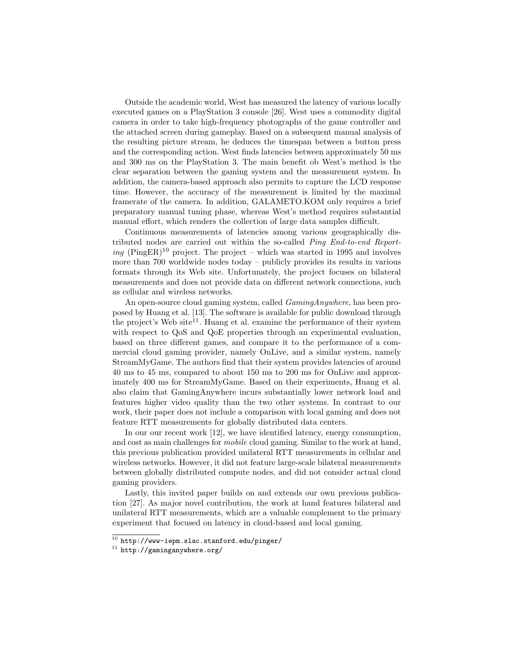Outside the academic world, West has measured the latency of various locally executed games on a PlayStation 3 console [26]. West uses a commodity digital camera in order to take high-frequency photographs of the game controller and the attached screen during gameplay. Based on a subsequent manual analysis of the resulting picture stream, he deduces the timespan between a button press and the corresponding action. West finds latencies between approximately 50 ms and 300 ms on the PlayStation 3. The main benefit ob West's method is the clear separation between the gaming system and the measurement system. In addition, the camera-based approach also permits to capture the LCD response time. However, the accuracy of the measurement is limited by the maximal framerate of the camera. In addition, GALAMETO.KOM only requires a brief preparatory manual tuning phase, whereas West's method requires substantial manual effort, which renders the collection of large data samples difficult.

Continuous measurements of latencies among various geographically distributed nodes are carried out within the so-called Ping End-to-end Reporting (PingER)<sup>10</sup> project. The project – which was started in 1995 and involves more than 700 worldwide nodes today – publicly provides its results in various formats through its Web site. Unfortunately, the project focuses on bilateral measurements and does not provide data on different network connections, such as cellular and wireless networks.

An open-source cloud gaming system, called GamingAnywhere, has been proposed by Huang et al. [13]. The software is available for public download through the project's Web site<sup>11</sup>. Huang et al. examine the performance of their system with respect to QoS and QoE properties through an experimental evaluation, based on three different games, and compare it to the performance of a commercial cloud gaming provider, namely OnLive, and a similar system, namely StreamMyGame. The authors find that their system provides latencies of around 40 ms to 45 ms, compared to about 150 ms to 200 ms for OnLive and approximately 400 ms for StreamMyGame. Based on their experiments, Huang et al. also claim that GamingAnywhere incurs substantially lower network load and features higher video quality than the two other systems. In contrast to our work, their paper does not include a comparison with local gaming and does not feature RTT measurements for globally distributed data centers.

In our our recent work [12], we have identified latency, energy consumption, and cost as main challenges for mobile cloud gaming. Similar to the work at hand, this previous publication provided unilateral RTT measurements in cellular and wireless networks. However, it did not feature large-scale bilateral measurements between globally distributed compute nodes, and did not consider actual cloud gaming providers.

Lastly, this invited paper builds on and extends our own previous publication [27]. As major novel contribution, the work at hand features bilateral and unilateral RTT measurements, which are a valuable complement to the primary experiment that focused on latency in cloud-based and local gaming.

 $^{10}$  http://www-iepm.slac.stanford.edu/pinger/

<sup>11</sup> http://gaminganywhere.org/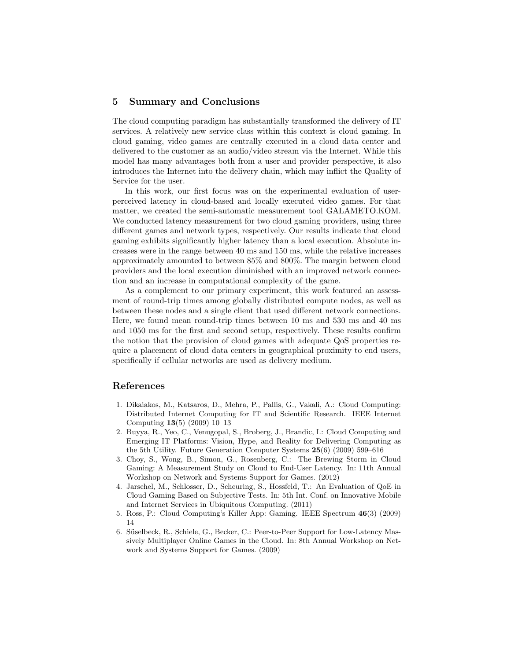### 5 Summary and Conclusions

The cloud computing paradigm has substantially transformed the delivery of IT services. A relatively new service class within this context is cloud gaming. In cloud gaming, video games are centrally executed in a cloud data center and delivered to the customer as an audio/video stream via the Internet. While this model has many advantages both from a user and provider perspective, it also introduces the Internet into the delivery chain, which may inflict the Quality of Service for the user.

In this work, our first focus was on the experimental evaluation of userperceived latency in cloud-based and locally executed video games. For that matter, we created the semi-automatic measurement tool GALAMETO.KOM. We conducted latency measurement for two cloud gaming providers, using three different games and network types, respectively. Our results indicate that cloud gaming exhibits significantly higher latency than a local execution. Absolute increases were in the range between 40 ms and 150 ms, while the relative increases approximately amounted to between 85% and 800%. The margin between cloud providers and the local execution diminished with an improved network connection and an increase in computational complexity of the game.

As a complement to our primary experiment, this work featured an assessment of round-trip times among globally distributed compute nodes, as well as between these nodes and a single client that used different network connections. Here, we found mean round-trip times between 10 ms and 530 ms and 40 ms and 1050 ms for the first and second setup, respectively. These results confirm the notion that the provision of cloud games with adequate QoS properties require a placement of cloud data centers in geographical proximity to end users, specifically if cellular networks are used as delivery medium.

### References

- 1. Dikaiakos, M., Katsaros, D., Mehra, P., Pallis, G., Vakali, A.: Cloud Computing: Distributed Internet Computing for IT and Scientific Research. IEEE Internet Computing 13(5) (2009) 10–13
- 2. Buyya, R., Yeo, C., Venugopal, S., Broberg, J., Brandic, I.: Cloud Computing and Emerging IT Platforms: Vision, Hype, and Reality for Delivering Computing as the 5th Utility. Future Generation Computer Systems 25(6) (2009) 599–616
- 3. Choy, S., Wong, B., Simon, G., Rosenberg, C.: The Brewing Storm in Cloud Gaming: A Measurement Study on Cloud to End-User Latency. In: 11th Annual Workshop on Network and Systems Support for Games. (2012)
- 4. Jarschel, M., Schlosser, D., Scheuring, S., Hossfeld, T.: An Evaluation of QoE in Cloud Gaming Based on Subjective Tests. In: 5th Int. Conf. on Innovative Mobile and Internet Services in Ubiquitous Computing. (2011)
- 5. Ross, P.: Cloud Computing's Killer App: Gaming. IEEE Spectrum 46(3) (2009) 14
- 6. Süselbeck, R., Schiele, G., Becker, C.: Peer-to-Peer Support for Low-Latency Massively Multiplayer Online Games in the Cloud. In: 8th Annual Workshop on Network and Systems Support for Games. (2009)